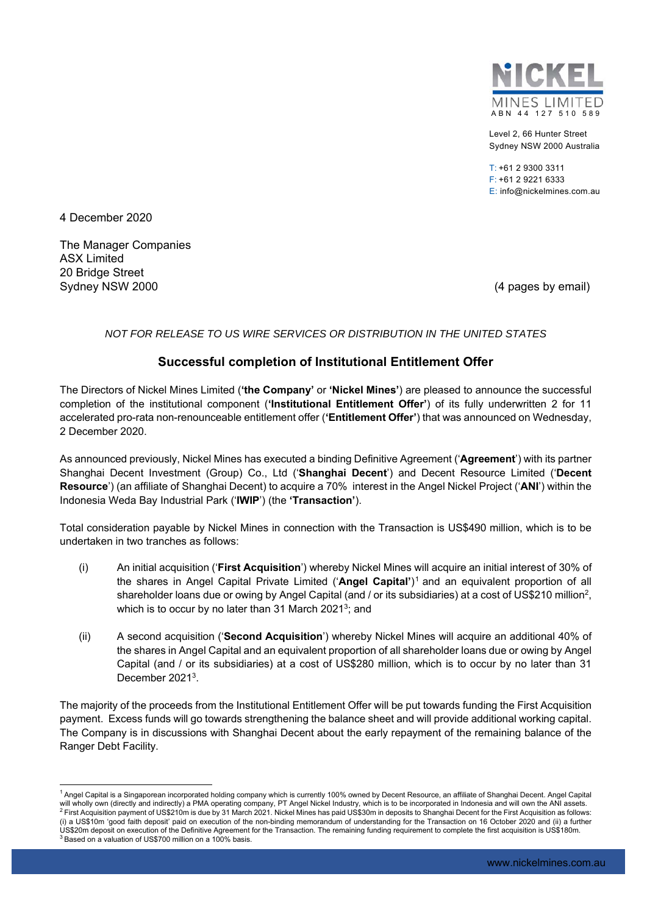

Level 2, 66 Hunter Street Sydney NSW 2000 Australia

T: +61 2 9300 3311 F: +61 2 9221 6333 E: info@nickelmines.com.au

4 December 2020

The Manager Companies ASX Limited 20 Bridge Street Sydney NSW 2000 (4 pages by email)

## *NOT FOR RELEASE TO US WIRE SERVICES OR DISTRIBUTION IN THE UNITED STATES*

# **Successful completion of Institutional Entitlement Offer**

The Directors of Nickel Mines Limited (**'the Company'** or **'Nickel Mines'**) are pleased to announce the successful completion of the institutional component (**'Institutional Entitlement Offer'**) of its fully underwritten 2 for 11 accelerated pro-rata non-renounceable entitlement offer (**'Entitlement Offer'**) that was announced on Wednesday, 2 December 2020.

As announced previously, Nickel Mines has executed a binding Definitive Agreement ('**Agreement**') with its partner Shanghai Decent Investment (Group) Co., Ltd ('**Shanghai Decent**') and Decent Resource Limited ('**Decent Resource**') (an affiliate of Shanghai Decent) to acquire a 70% interest in the Angel Nickel Project ('**ANI**') within the Indonesia Weda Bay Industrial Park ('**IWIP**') (the **'Transaction'**).

Total consideration payable by Nickel Mines in connection with the Transaction is US\$490 million, which is to be undertaken in two tranches as follows:

- (i) An initial acquisition ('**First Acquisition**') whereby Nickel Mines will acquire an initial interest of 30% of the shares in Angel Capital Private Limited ('**Angel Capital'**)1 and an equivalent proportion of all shareholder loans due or owing by Angel Capital (and / or its subsidiaries) at a cost of US\$210 million<sup>2</sup>, which is to occur by no later than 31 March 2021<sup>3</sup>; and
- (ii) A second acquisition ('**Second Acquisition**') whereby Nickel Mines will acquire an additional 40% of the shares in Angel Capital and an equivalent proportion of all shareholder loans due or owing by Angel Capital (and / or its subsidiaries) at a cost of US\$280 million, which is to occur by no later than 31 December 2021<sup>3</sup>.

The majority of the proceeds from the Institutional Entitlement Offer will be put towards funding the First Acquisition payment. Excess funds will go towards strengthening the balance sheet and will provide additional working capital. The Company is in discussions with Shanghai Decent about the early repayment of the remaining balance of the Ranger Debt Facility.

<sup>&</sup>lt;sup>1</sup> Angel Capital is a Singaporean incorporated holding company which is currently 100% owned by Decent Resource, an affiliate of Shanghai Decent. Angel Capital<br>will wholly own (directly and indirectly) a PMA operating com <sup>2</sup> First Acquisition payment of US\$210m is due by 31 March 2021. Nickel Mines has paid US\$30m in deposits to Shanghai Decent for the First Acquisition as follows: (i) a US\$10m 'good faith deposit' paid on execution of the non-binding memorandum of understanding for the Transaction on 16 October 2020 and (ii) a further<br>US\$20m deposit on execution of the Definitive Agreement for the T 3 Based on a valuation of US\$700 million on a 100% basis.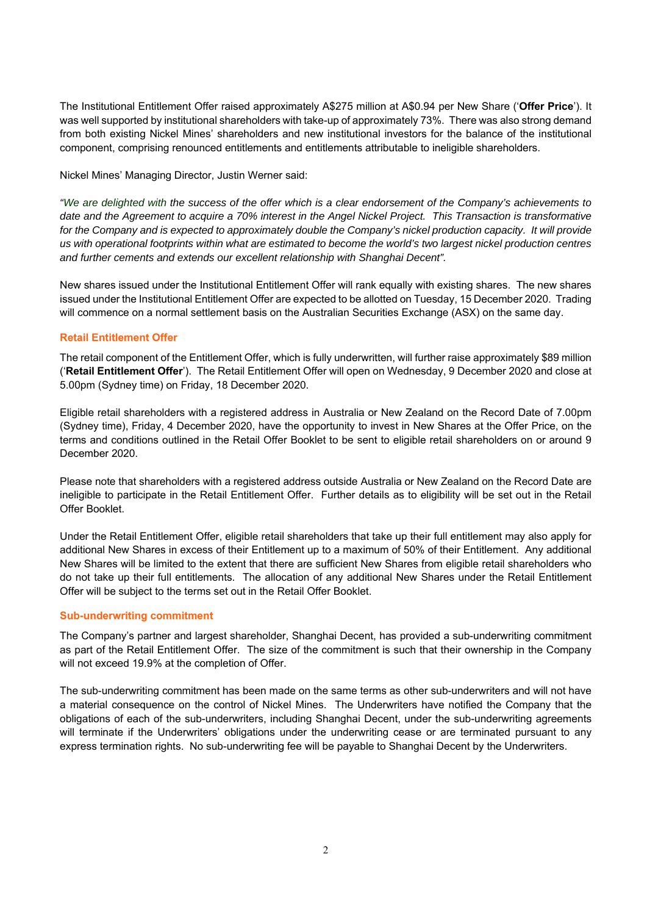The Institutional Entitlement Offer raised approximately A\$275 million at A\$0.94 per New Share ('**Offer Price**'). It was well supported by institutional shareholders with take-up of approximately 73%. There was also strong demand from both existing Nickel Mines' shareholders and new institutional investors for the balance of the institutional component, comprising renounced entitlements and entitlements attributable to ineligible shareholders.

Nickel Mines' Managing Director, Justin Werner said:

*"We are delighted with the success of the offer which is a clear endorsement of the Company's achievements to date and the Agreement to acquire a 70% interest in the Angel Nickel Project. This Transaction is transformative*  for the Company and is expected to approximately double the Company's nickel production capacity. It will provide *us with operational footprints within what are estimated to become the world's two largest nickel production centres and further cements and extends our excellent relationship with Shanghai Decent".* 

New shares issued under the Institutional Entitlement Offer will rank equally with existing shares. The new shares issued under the Institutional Entitlement Offer are expected to be allotted on Tuesday, 15 December 2020. Trading will commence on a normal settlement basis on the Australian Securities Exchange (ASX) on the same day.

## **Retail Entitlement Offer**

The retail component of the Entitlement Offer, which is fully underwritten, will further raise approximately \$89 million ('**Retail Entitlement Offer**'). The Retail Entitlement Offer will open on Wednesday, 9 December 2020 and close at 5.00pm (Sydney time) on Friday, 18 December 2020.

Eligible retail shareholders with a registered address in Australia or New Zealand on the Record Date of 7.00pm (Sydney time), Friday, 4 December 2020, have the opportunity to invest in New Shares at the Offer Price, on the terms and conditions outlined in the Retail Offer Booklet to be sent to eligible retail shareholders on or around 9 December 2020.

Please note that shareholders with a registered address outside Australia or New Zealand on the Record Date are ineligible to participate in the Retail Entitlement Offer. Further details as to eligibility will be set out in the Retail Offer Booklet.

Under the Retail Entitlement Offer, eligible retail shareholders that take up their full entitlement may also apply for additional New Shares in excess of their Entitlement up to a maximum of 50% of their Entitlement. Any additional New Shares will be limited to the extent that there are sufficient New Shares from eligible retail shareholders who do not take up their full entitlements. The allocation of any additional New Shares under the Retail Entitlement Offer will be subject to the terms set out in the Retail Offer Booklet.

## **Sub-underwriting commitment**

The Company's partner and largest shareholder, Shanghai Decent, has provided a sub-underwriting commitment as part of the Retail Entitlement Offer. The size of the commitment is such that their ownership in the Company will not exceed 19.9% at the completion of Offer.

The sub-underwriting commitment has been made on the same terms as other sub-underwriters and will not have a material consequence on the control of Nickel Mines. The Underwriters have notified the Company that the obligations of each of the sub-underwriters, including Shanghai Decent, under the sub-underwriting agreements will terminate if the Underwriters' obligations under the underwriting cease or are terminated pursuant to any express termination rights. No sub-underwriting fee will be payable to Shanghai Decent by the Underwriters.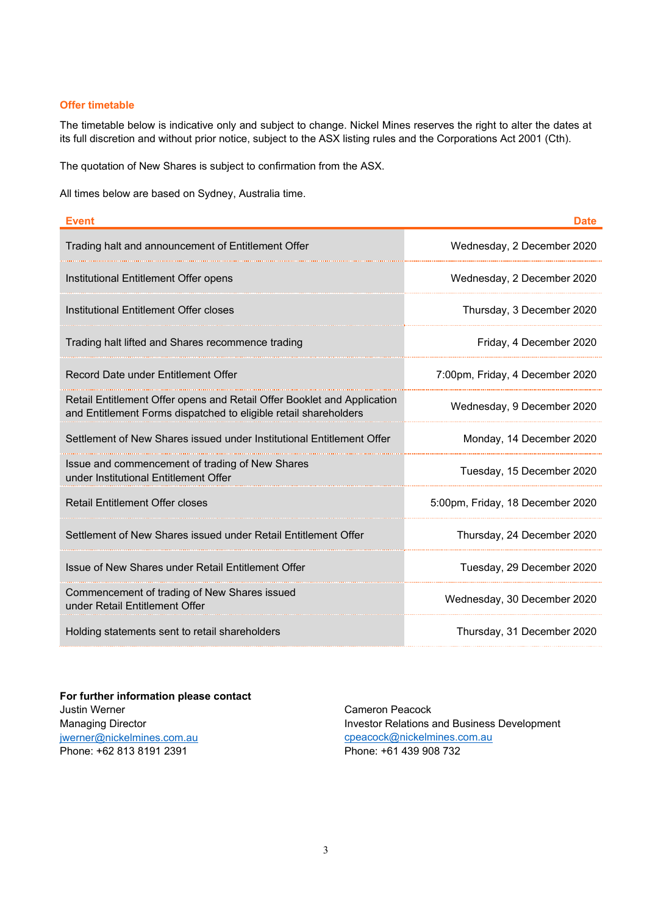#### **Offer timetable**

The timetable below is indicative only and subject to change. Nickel Mines reserves the right to alter the dates at its full discretion and without prior notice, subject to the ASX listing rules and the Corporations Act 2001 (Cth).

The quotation of New Shares is subject to confirmation from the ASX.

All times below are based on Sydney, Australia time.

| <b>Event</b>                                                                                                                                | <b>Date</b>                      |
|---------------------------------------------------------------------------------------------------------------------------------------------|----------------------------------|
| Trading halt and announcement of Entitlement Offer                                                                                          | Wednesday, 2 December 2020       |
| Institutional Entitlement Offer opens                                                                                                       | Wednesday, 2 December 2020       |
| Institutional Entitlement Offer closes                                                                                                      | Thursday, 3 December 2020        |
| Trading halt lifted and Shares recommence trading                                                                                           | Friday, 4 December 2020          |
| Record Date under Entitlement Offer                                                                                                         | 7:00pm, Friday, 4 December 2020  |
| Retail Entitlement Offer opens and Retail Offer Booklet and Application<br>and Entitlement Forms dispatched to eligible retail shareholders | Wednesday, 9 December 2020       |
| Settlement of New Shares issued under Institutional Entitlement Offer                                                                       | Monday, 14 December 2020         |
| Issue and commencement of trading of New Shares<br>under Institutional Entitlement Offer                                                    | Tuesday, 15 December 2020        |
| <b>Retail Entitlement Offer closes</b>                                                                                                      | 5:00pm, Friday, 18 December 2020 |
| Settlement of New Shares issued under Retail Entitlement Offer                                                                              | Thursday, 24 December 2020       |
| Issue of New Shares under Retail Entitlement Offer                                                                                          | Tuesday, 29 December 2020        |
| Commencement of trading of New Shares issued<br>under Retail Entitlement Offer                                                              | Wednesday, 30 December 2020      |
| Holding statements sent to retail shareholders                                                                                              | Thursday, 31 December 2020       |

**For further information please contact**  Justin Werner Managing Director jwerner@nickelmines.com.au Phone: +62 813 8191 2391

Cameron Peacock Investor Relations and Business Development cpeacock@nickelmines.com.au Phone: +61 439 908 732